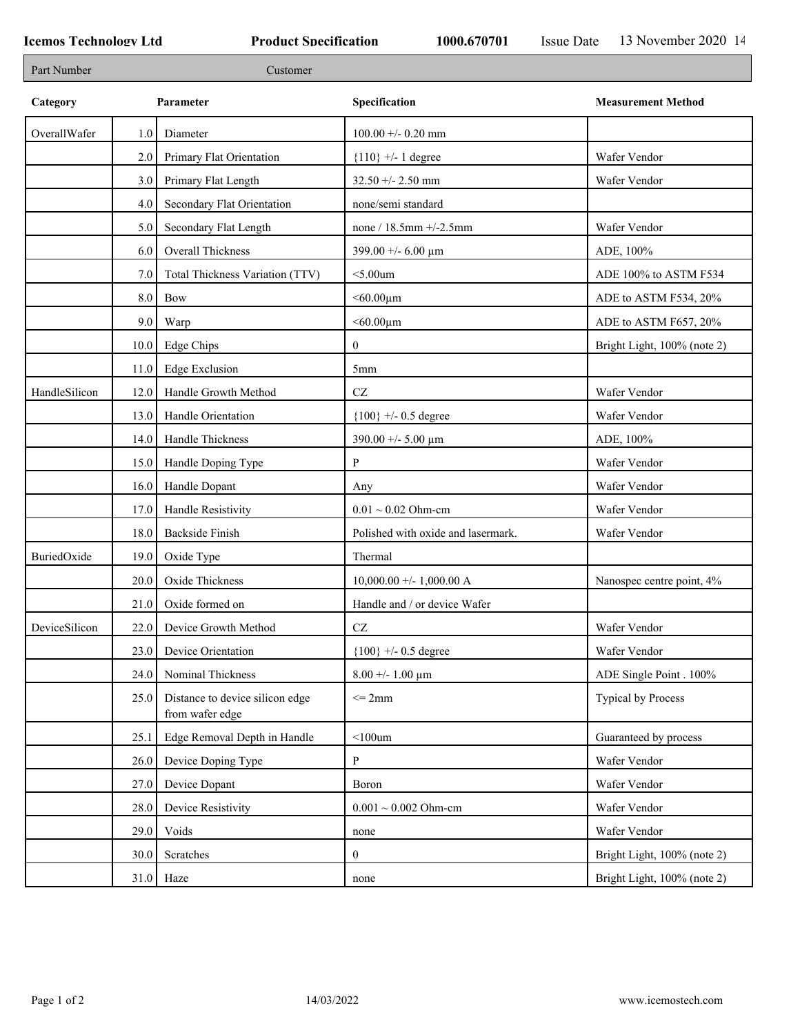| Part Number   |      | Customer                                           |                                    |                             |
|---------------|------|----------------------------------------------------|------------------------------------|-----------------------------|
| Category      |      | Parameter                                          | Specification                      | <b>Measurement Method</b>   |
| OverallWafer  | 1.0  | Diameter                                           | $100.00 + -0.20$ mm                |                             |
|               | 2.0  | Primary Flat Orientation                           | ${110}$ +/- 1 degree               | Wafer Vendor                |
|               | 3.0  | Primary Flat Length                                | $32.50 + - 2.50$ mm                | Wafer Vendor                |
|               | 4.0  | Secondary Flat Orientation                         | none/semi standard                 |                             |
|               | 5.0  | Secondary Flat Length                              | none / $18.5$ mm $+/-2.5$ mm       | Wafer Vendor                |
|               | 6.0  | Overall Thickness                                  | 399.00 +/- 6.00 $\mu$ m            | ADE, 100%                   |
|               | 7.0  | Total Thickness Variation (TTV)                    | $<$ 5.00 $um$                      | ADE 100% to ASTM F534       |
|               | 8.0  | Bow                                                | $< 60.00 \mu m$                    | ADE to ASTM F534, 20%       |
|               | 9.0  | Warp                                               | $< 60.00 \mu m$                    | ADE to ASTM F657, 20%       |
|               | 10.0 | Edge Chips                                         | $\mathbf{0}$                       | Bright Light, 100% (note 2) |
|               | 11.0 | <b>Edge Exclusion</b>                              | 5 <sub>mm</sub>                    |                             |
| HandleSilicon | 12.0 | Handle Growth Method                               | $\operatorname{CZ}$                | Wafer Vendor                |
|               | 13.0 | Handle Orientation                                 | ${100}$ +/- 0.5 degree             | Wafer Vendor                |
|               | 14.0 | Handle Thickness                                   | 390.00 +/- 5.00 $\mu$ m            | ADE, 100%                   |
|               | 15.0 | Handle Doping Type                                 | P                                  | Wafer Vendor                |
|               | 16.0 | Handle Dopant                                      | Any                                | Wafer Vendor                |
|               | 17.0 | Handle Resistivity                                 | $0.01 \sim 0.02$ Ohm-cm            | Wafer Vendor                |
|               | 18.0 | <b>Backside Finish</b>                             | Polished with oxide and lasermark. | Wafer Vendor                |
| BuriedOxide   | 19.0 | Oxide Type                                         | Thermal                            |                             |
|               | 20.0 | Oxide Thickness                                    | $10,000.00 +/- 1,000.00 A$         | Nanospec centre point, 4%   |
|               | 21.0 | Oxide formed on                                    | Handle and / or device Wafer       |                             |
| DeviceSilicon | 22.0 | Device Growth Method                               | $\operatorname{CZ}$                | Wafer Vendor                |
|               | 23.0 | Device Orientation                                 | ${100}$ +/- 0.5 degree             | Wafer Vendor                |
|               | 24.0 | Nominal Thickness                                  | $8.00 + - 1.00 \mu m$              | ADE Single Point . 100%     |
|               | 25.0 | Distance to device silicon edge<br>from wafer edge | $\leq$ 2mm                         | Typical by Process          |
|               | 25.1 | Edge Removal Depth in Handle                       | $<$ 100um                          | Guaranteed by process       |
|               | 26.0 | Device Doping Type                                 | $\mathbf{P}$                       | Wafer Vendor                |
|               | 27.0 | Device Dopant                                      | Boron                              | Wafer Vendor                |
|               | 28.0 | Device Resistivity                                 | $0.001 \sim 0.002$ Ohm-cm          | Wafer Vendor                |
|               | 29.0 | Voids                                              | none                               | Wafer Vendor                |
|               | 30.0 | Scratches                                          | $\mathbf{0}$                       | Bright Light, 100% (note 2) |
|               |      | $31.0$ Haze                                        | none                               | Bright Light, 100% (note 2) |